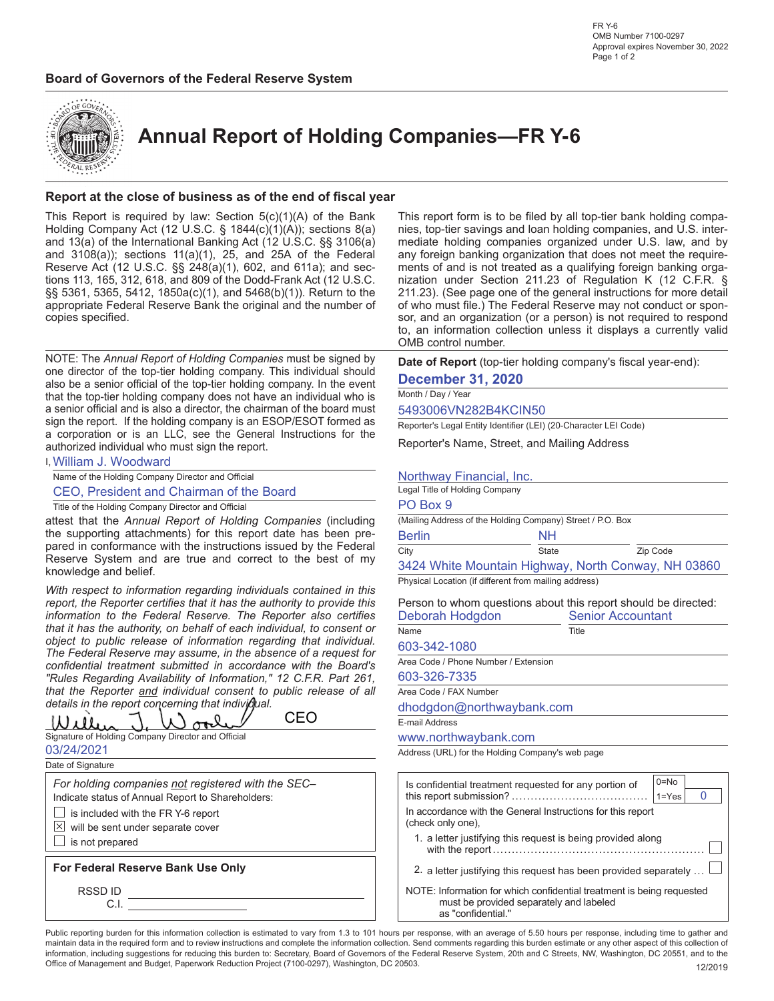



**Annual Report of Holding Companies—FR Y-6**

### **Report at the close of business as of the end of fiscal year**

This Report is required by law: Section  $5(c)(1)(A)$  of the Bank Holding Company Act (12 U.S.C. § 1844(c)(1)(A)); sections 8(a) and 13(a) of the International Banking Act (12 U.S.C. §§ 3106(a) and 3108(a)); sections 11(a)(1), 25, and 25A of the Federal Reserve Act (12 U.S.C. §§ 248(a)(1), 602, and 611a); and sections 113, 165, 312, 618, and 809 of the Dodd-Frank Act (12 U.S.C. §§ 5361, 5365, 5412, 1850a(c)(1), and 5468(b)(1)). Return to the appropriate Federal Reserve Bank the original and the number of copies specified.

NOTE: The *Annual Report of Holding Companies* must be signed by one director of the top-tier holding company. This individual should also be a senior official of the top-tier holding company. In the event that the top-tier holding company does not have an individual who is a senior official and is also a director, the chairman of the board must sign the report. If the holding company is an ESOP/ESOT formed as a corporation or is an LLC, see the General Instructions for the authorized individual who must sign the report.

| I, William J. Woodward |  |
|------------------------|--|
|------------------------|--|

Name of the Holding Company Director and Official

CEO, President and Chairman of the Board

Title of the Holding Company Director and Official

attest that the *Annual Report of Holding Companies* (including the supporting attachments) for this report date has been prepared in conformance with the instructions issued by the Federal Reserve System and are true and correct to the best of my knowledge and belief.

*With respect to information regarding individuals contained in this report, the Reporter certifies that it has the authority to provide this information to the Federal Reserve. The Reporter also certifies that it has the authority, on behalf of each individual, to consent or object to public release of information regarding that individual. The Federal Reserve may assume, in the absence of a request for confidential treatment submitted in accordance with the Board's "Rules Regarding Availability of Information," 12 C.F.R. Part 261, that the Reporter and individual consent to public release of all details in the report concerning that individual.*

CEO1 I L  $\sigma$ 

Signature of Holding Company Director and Official 03/24/2021

Date of Signature

*For holding companies not registered with the SEC–*

Indicate status of Annual Report to Shareholders:

- $\Box$  is included with the FR Y-6 report
- $\boxtimes$  will be sent under separate cover
- $\Box$  is not prepared

**For Federal Reserve Bank Use Only**

RSSD ID

C.I.

This report form is to be filed by all top-tier bank holding companies, top-tier savings and loan holding companies, and U.S. intermediate holding companies organized under U.S. law, and by any foreign banking organization that does not meet the requirements of and is not treated as a qualifying foreign banking organization under Section 211.23 of Regulation K (12 C.F.R. § 211.23). (See page one of the general instructions for more detail of who must file.) The Federal Reserve may not conduct or sponsor, and an organization (or a person) is not required to respond to, an information collection unless it displays a currently valid OMB control number.

**Date of Report** (top-tier holding company's fiscal year-end):

### **December 31, 2020**

Month / Day / Year

5493006VN282B4KCIN50

Reporter's Legal Entity Identifier (LEI) (20-Character LEI Code)

Reporter's Name, Street, and Mailing Address

### Northway Financial, Inc.

|                                                            |       | 3424 White Mountain Highway, North Conway, NH 03860 |
|------------------------------------------------------------|-------|-----------------------------------------------------|
| City                                                       | State | Zip Code                                            |
| <b>Berlin</b>                                              | NН    |                                                     |
| (Mailing Address of the Holding Company) Street / P.O. Box |       |                                                     |
| PO Box 9                                                   |       |                                                     |
| Legal Title of Holding Company                             |       |                                                     |
|                                                            |       |                                                     |

Physical Location (if different from mailing address)

|                 | Person to whom questions about this report should be directed: |
|-----------------|----------------------------------------------------------------|
| Deborah Hodgdon | <b>Senior Accountant</b>                                       |

| Name         | Title |
|--------------|-------|
| 603-342-1080 |       |

Area Code / Phone Number / Extension

#### 603-326-7335

Area Code / FAX Number

dhodgdon@northwaybank.com

E-mail Address

#### www.northwaybank.com

Address (URL) for the Holding Company's web page

| Is confidential treatment requested for any portion of                                                                                 | $0 = No$  |  |  |  |  |  |  |  |
|----------------------------------------------------------------------------------------------------------------------------------------|-----------|--|--|--|--|--|--|--|
|                                                                                                                                        | $1 = Yes$ |  |  |  |  |  |  |  |
| In accordance with the General Instructions for this report<br>(check only one).                                                       |           |  |  |  |  |  |  |  |
| 1. a letter justifying this request is being provided along                                                                            |           |  |  |  |  |  |  |  |
| 2. a letter justifying this request has been provided separately                                                                       |           |  |  |  |  |  |  |  |
| NOTE: Information for which confidential treatment is being requested<br>must be provided separately and labeled<br>as "confidential." |           |  |  |  |  |  |  |  |

Public reporting burden for this information collection is estimated to vary from 1.3 to 101 hours per response, with an average of 5.50 hours per response, including time to gather and maintain data in the required form and to review instructions and complete the information collection. Send comments regarding this burden estimate or any other aspect of this collection of information, including suggestions for reducing this burden to: Secretary, Board of Governors of the Federal Reserve System, 20th and C Streets, NW, Washington, DC 20551, and to the Office of Management and Budget, Paperwork Reduction Project (7100-0297), Washington, DC 20503. 12/2019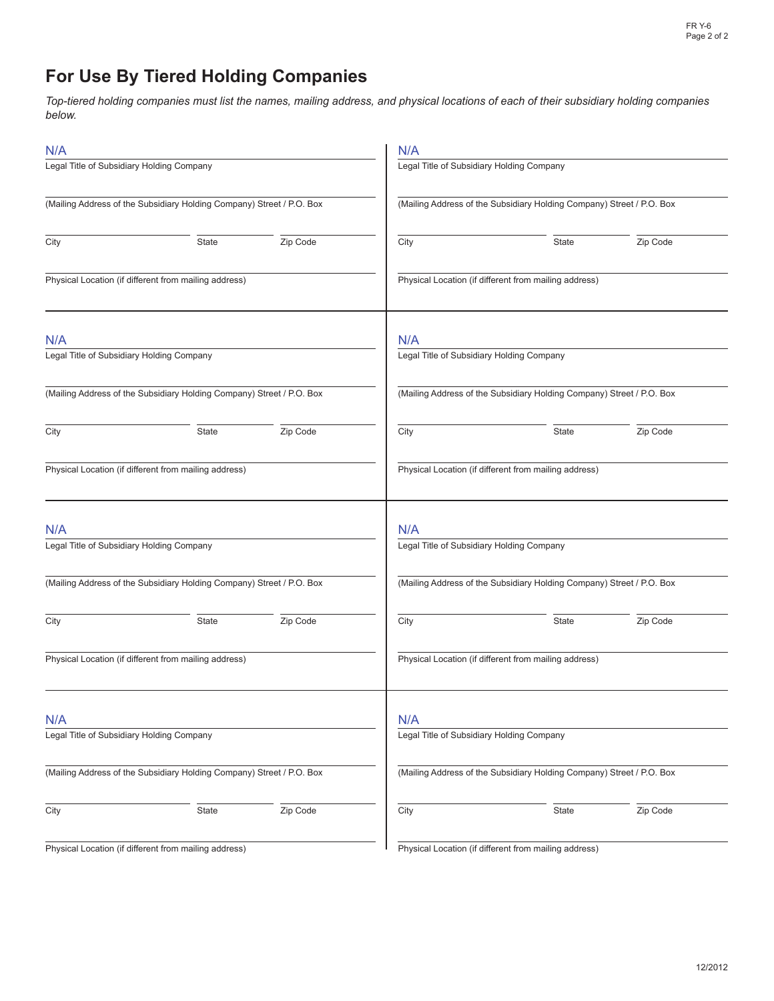# **For Use By Tiered Holding Companies**

*Top-tiered holding companies must list the names, mailing address, and physical locations of each of their subsidiary holding companies below.*

| N/A                                              |                                                                       |          | N/A                                                   |                                                                       |          |  |  |  |
|--------------------------------------------------|-----------------------------------------------------------------------|----------|-------------------------------------------------------|-----------------------------------------------------------------------|----------|--|--|--|
| Legal Title of Subsidiary Holding Company        |                                                                       |          | Legal Title of Subsidiary Holding Company             |                                                                       |          |  |  |  |
|                                                  | (Mailing Address of the Subsidiary Holding Company) Street / P.O. Box |          |                                                       | (Mailing Address of the Subsidiary Holding Company) Street / P.O. Box |          |  |  |  |
| City                                             | State                                                                 | Zip Code | City                                                  | <b>State</b>                                                          | Zip Code |  |  |  |
|                                                  | Physical Location (if different from mailing address)                 |          |                                                       | Physical Location (if different from mailing address)                 |          |  |  |  |
| N/A<br>Legal Title of Subsidiary Holding Company |                                                                       |          | N/A                                                   | Legal Title of Subsidiary Holding Company                             |          |  |  |  |
|                                                  |                                                                       |          |                                                       |                                                                       |          |  |  |  |
|                                                  | (Mailing Address of the Subsidiary Holding Company) Street / P.O. Box |          |                                                       | (Mailing Address of the Subsidiary Holding Company) Street / P.O. Box |          |  |  |  |
| City                                             | State                                                                 | Zip Code | City                                                  | <b>State</b>                                                          | Zip Code |  |  |  |
|                                                  | Physical Location (if different from mailing address)                 |          |                                                       | Physical Location (if different from mailing address)                 |          |  |  |  |
| N/A                                              |                                                                       |          | N/A                                                   |                                                                       |          |  |  |  |
| Legal Title of Subsidiary Holding Company        |                                                                       |          |                                                       | Legal Title of Subsidiary Holding Company                             |          |  |  |  |
|                                                  | (Mailing Address of the Subsidiary Holding Company) Street / P.O. Box |          |                                                       | (Mailing Address of the Subsidiary Holding Company) Street / P.O. Box |          |  |  |  |
| City                                             | State                                                                 | Zip Code | City                                                  | <b>State</b>                                                          | Zip Code |  |  |  |
|                                                  | Physical Location (if different from mailing address)                 |          | Physical Location (if different from mailing address) |                                                                       |          |  |  |  |
| N/A                                              |                                                                       |          | N/A                                                   |                                                                       |          |  |  |  |
| Legal Title of Subsidiary Holding Company        |                                                                       |          |                                                       | Legal Title of Subsidiary Holding Company                             |          |  |  |  |
|                                                  | (Mailing Address of the Subsidiary Holding Company) Street / P.O. Box |          |                                                       | (Mailing Address of the Subsidiary Holding Company) Street / P.O. Box |          |  |  |  |
| City                                             | State                                                                 | Zip Code | City                                                  | State                                                                 | Zip Code |  |  |  |
| Dhucical I                                       | contion (if different from mailing                                    |          | <b>Dhugiool</b>                                       | cotion (if different from mailing)                                    |          |  |  |  |

Physical Location (if different from mailing address)

Physical Location (if different from mailing address)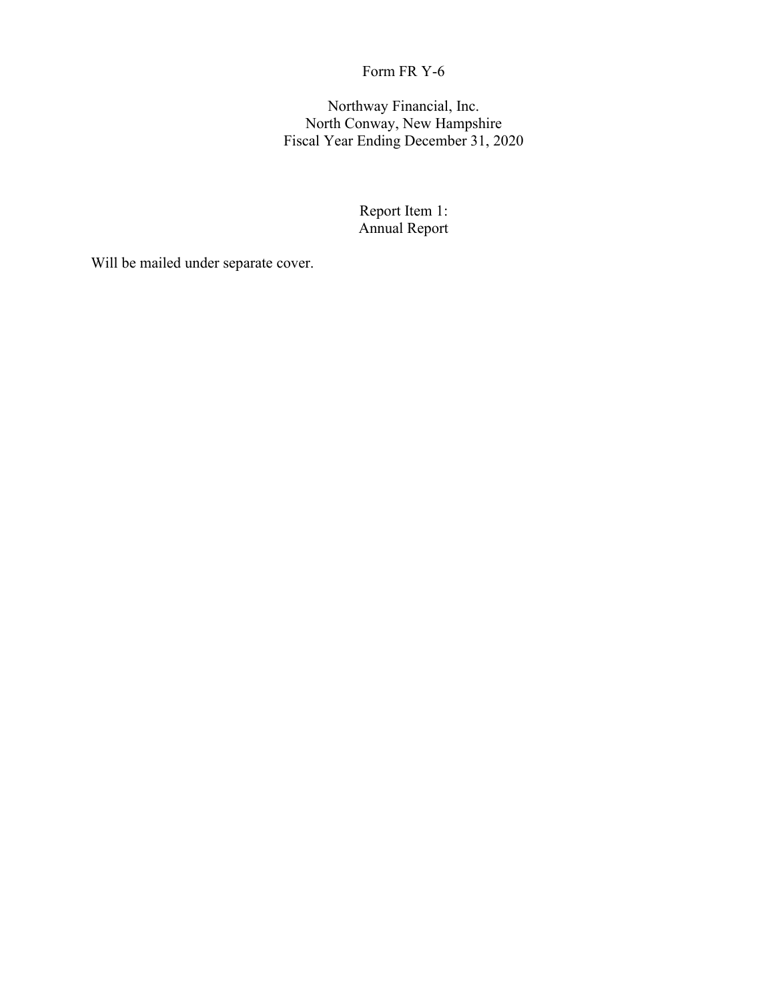Northway Financial, Inc. North Conway, New Hampshire Fiscal Year Ending December 31, 2020

> Report Item 1: Annual Report

Will be mailed under separate cover.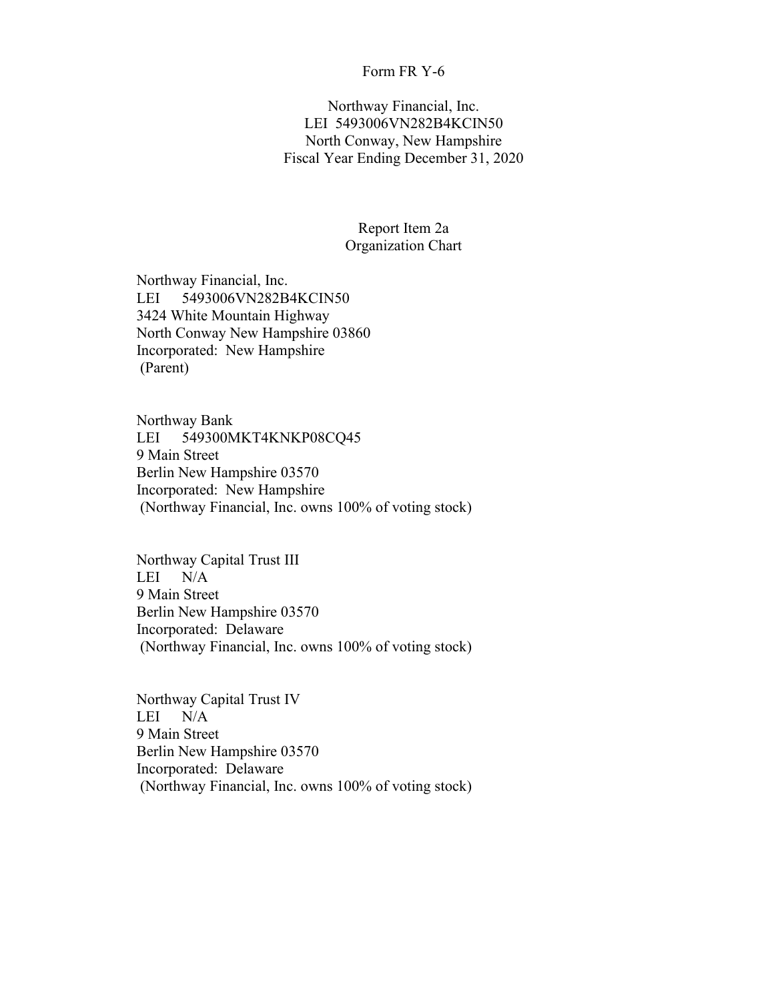Northway Financial, Inc. LEI 5493006VN282B4KCIN50 North Conway, New Hampshire Fiscal Year Ending December 31, 2020

### Report Item 2a Organization Chart

Northway Financial, Inc. LEI 5493006VN282B4KCIN50 3424 White Mountain Highway North Conway New Hampshire 03860 Incorporated: New Hampshire (Parent)

Northway Bank LEI 549300MKT4KNKP08CQ45 9 Main Street Berlin New Hampshire 03570 Incorporated: New Hampshire (Northway Financial, Inc. owns 100% of voting stock)

Northway Capital Trust III LEI N/A 9 Main Street Berlin New Hampshire 03570 Incorporated: Delaware (Northway Financial, Inc. owns 100% of voting stock)

Northway Capital Trust IV LEI N/A 9 Main Street Berlin New Hampshire 03570 Incorporated: Delaware (Northway Financial, Inc. owns 100% of voting stock)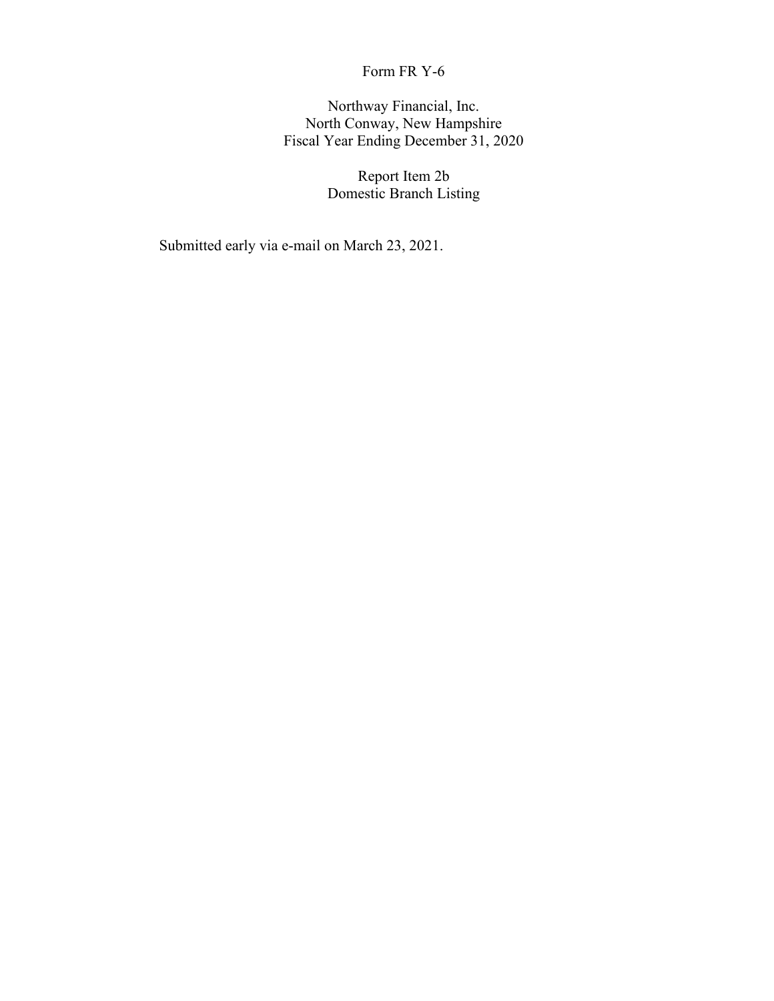Northway Financial, Inc. North Conway, New Hampshire Fiscal Year Ending December 31, 2020

> Report Item 2b Domestic Branch Listing

Submitted early via e-mail on March 23, 2021.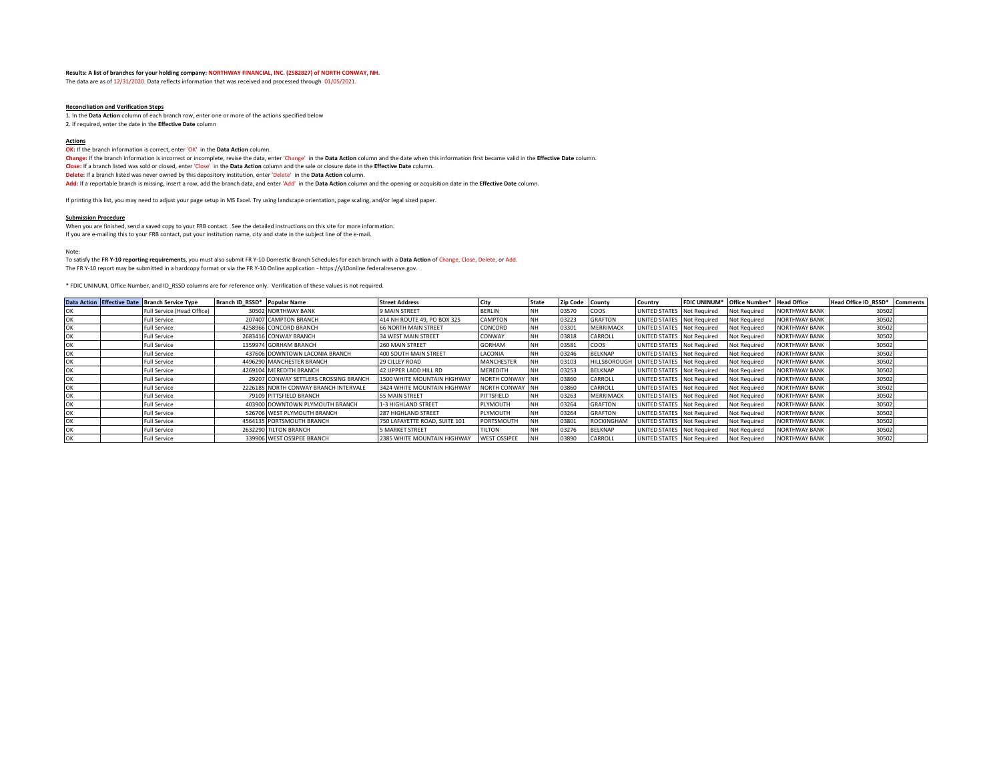#### **Results: A list of branches for your holding company: NORTHWAY FINANCIAL, INC. (2582827) of NORTH CONWAY, NH.**

The data are as of 12/31/2020. Data reflects information that was received and processed through 01/05/2021.

#### **Reconciliation and Verification Steps**

1. In the **Data Action** column of each branch row, enter one or more of the actions specified below 2. If required, enter the date in the **Effective Date** column

#### **Actions**

**OK:** If the branch information is correct, enter 'OK' in the Data Action column.

**Change:** If the branch information is incorrect or incomplete, revise the data, enter 'Change' in the **Data Action** column and the date when this information first became valid in the **Effective Date** column.

**Close:** If a branch listed was sold or closed, enter 'Close' in the **Data Action** column and the sale or closure date in the **Effective Date** column.

**Delete:** If a branch listed was never owned by this depository institution, enter 'Delete' in the **Data Action** column.

**Add:** If a reportable branch is missing, insert a row, add the branch data, and enter 'Add' in the **Data Action** column and the opening or acquisition date in the **Effective Date** column.

If printing this list, you may need to adjust your page setup in MS Excel. Try using landscape orientation, page scaling, and/or legal sized paper.

#### **Submission Procedure**

When you are finished, send a saved copy to your FRB contact. See the detailed instructions on this site for more information. If you are e-mailing this to your FRB contact, put your institution name, city and state in the subject line of the e-mail.

Note:

To satisfy the **FR Y-10 reporting requirements**, you must also submit FR Y-10 Domestic Branch Schedules for each branch with a **Data Action** of Change, Close, Delete, or Add. The FR Y-10 report may be submitted in a hardcopy format or via the FR Y-10 Online application - https://y10online.federalreserve.gov.

\* FDIC UNINUM, Office Number, and ID\_RSSD columns are for reference only. Verification of these values is not required.

|  | Data Action Effective Date Branch Service Type | Branch ID RSSD* Popular Name |                                       | <b>Street Address</b>         | City                | <b>State</b> | <b>Zip Code</b> | County              | Country                    | <b>FDIC UNINUM*</b> | Office Number*      | <b>Head Office</b>   | Head Office ID RSSD* | <b>Comments</b> |
|--|------------------------------------------------|------------------------------|---------------------------------------|-------------------------------|---------------------|--------------|-----------------|---------------------|----------------------------|---------------------|---------------------|----------------------|----------------------|-----------------|
|  | Full Service (Head Office)                     |                              | 30502 NORTHWAY BANK                   | 9 MAIN STREET                 | <b>BERLIN</b>       | <b>NH</b>    | 03570           | <b>COOS</b>         | UNITED STATES              | Not Required        | Not Required        | <b>NORTHWAY BANK</b> | 30502                |                 |
|  | Full Service                                   |                              | 207407 CAMPTON BRANCH                 | 414 NH ROUTE 49, PO BOX 325   | CAMPTON             | <b>NH</b>    | 03223           | <b>GRAFTON</b>      | UNITED STATES Not Required |                     | Not Required        | <b>NORTHWAY BANK</b> | 30502                |                 |
|  | Full Service                                   |                              | 4258966 CONCORD BRANCH                | <b>66 NORTH MAIN STREET</b>   | CONCORD             |              | 03301           | <b>MERRIMACK</b>    | UNITED STATES Not Required |                     | Not Required        | <b>NORTHWAY BANK</b> | 30502                |                 |
|  | Full Service                                   |                              | 2683416 CONWAY BRANCH                 | 34 WEST MAIN STREET           | CONWAY              | <b>NH</b>    | 03818           | CARROLL             | UNITED STATES Not Required |                     | Not Required        | <b>NORTHWAY BANK</b> | 30502                |                 |
|  | ull Service                                    |                              | 1359974 GORHAM BRANCH                 | 260 MAIN STREET               | GORHAM              | <b>NH</b>    | 03581           | <b>COOS</b>         | UNITED STATES Not Required |                     | Not Required        | <b>NORTHWAY BANK</b> | 30502                |                 |
|  | Full Service                                   |                              | 437606 DOWNTOWN LACONIA BRANCH        | 400 SOUTH MAIN STREET         | LACONIA             | <b>NH</b>    | 03246           | <b>BELKNAP</b>      | UNITED STATES Not Required |                     | Not Required        | <b>NORTHWAY BANK</b> | 30502                |                 |
|  | Full Service                                   |                              | 4496290 MANCHESTER BRANCH             | 29 CILLEY ROAD                | MANCHESTER          | <b>NH</b>    | 03103           | <b>HILLSBOROUGH</b> | UNITED STATES Not Required |                     | Not Required        | <b>NORTHWAY BANK</b> | 30502                |                 |
|  | Full Service                                   |                              | 4269104 MEREDITH BRANCH               | 42 UPPER LADD HILL RD         | <b>MEREDITH</b>     | <b>NH</b>    | 03253           | <b>BELKNAP</b>      | UNITED STATES Not Required |                     | Not Required        | <b>NORTHWAY BANK</b> | 30502                |                 |
|  | Full Service                                   |                              | 29207 CONWAY SETTLERS CROSSING BRANCH | 1500 WHITE MOUNTAIN HIGHWAY   | NORTH CONWAY NH     |              | 03860           | CARROLL             | UNITED STATES Not Required |                     | Not Required        | <b>NORTHWAY BANK</b> | 30502                |                 |
|  | Full Service                                   |                              | 2226185 NORTH CONWAY BRANCH INTERVALE | 3424 WHITE MOUNTAIN HIGHWAY   | NORTH CONWAY NH     |              | 03860           | CARROLL             | UNITED STATES Not Required |                     | Not Required        | <b>NORTHWAY BANK</b> | 30502                |                 |
|  | Full Service                                   |                              | 79109 PITTSFIELD BRANCH               | 55 MAIN STREET                | PITTSFIELD          | <b>NH</b>    | 03263           | MERRIMACK           | UNITED STATES Not Required |                     | Not Required        | <b>NORTHWAY BANK</b> | 30502                |                 |
|  | Full Service                                   |                              | 403900 DOWNTOWN PLYMOUTH BRANCH       | 1-3 HIGHLAND STREET           | PLYMOUTH            |              | 03264           | <b>GRAFTON</b>      | UNITED STATES Not Required |                     | Not Required        | <b>NORTHWAY BANK</b> | 30502                |                 |
|  | <b>Full Service</b>                            |                              | 526706 WEST PLYMOUTH BRANCH           | 287 HIGHLAND STREET           | PLYMOUTH            | <b>NH</b>    | 03264           | <b>GRAFTON</b>      | <b>JNITED STATES</b>       | Not Required        | Not Required        | <b>NORTHWAY BANK</b> | 30502                |                 |
|  | Full Service                                   |                              | 4564135 PORTSMOUTH BRANCH             | 750 LAFAYETTE ROAD, SUITE 101 | <b>PORTSMOUTH</b>   | <b>NH</b>    | 03801           | <b>ROCKINGHAM</b>   | UNITED STATES Not Required |                     | Not Required        | <b>NORTHWAY BANK</b> | 30502                |                 |
|  | Full Service                                   |                              | 2632290 TILTON BRANCH                 | 5 MARKET STREET               | <b>TILTON</b>       | NΗ           | 03276           | <b>BELKNAP</b>      | UNITED STATES Not Required |                     | <b>Not Required</b> | <b>NORTHWAY BANK</b> | 30502                |                 |
|  | Full Service                                   |                              | 339906 WEST OSSIPEE BRANCH            | 2385 WHITE MOUNTAIN HIGHWAY   | <b>WEST OSSIPEE</b> | <b>NH</b>    | 03890           | CARROLL             | UNITED STATES Not Required |                     | Not Required        | <b>NORTHWAY BANK</b> | 30502                |                 |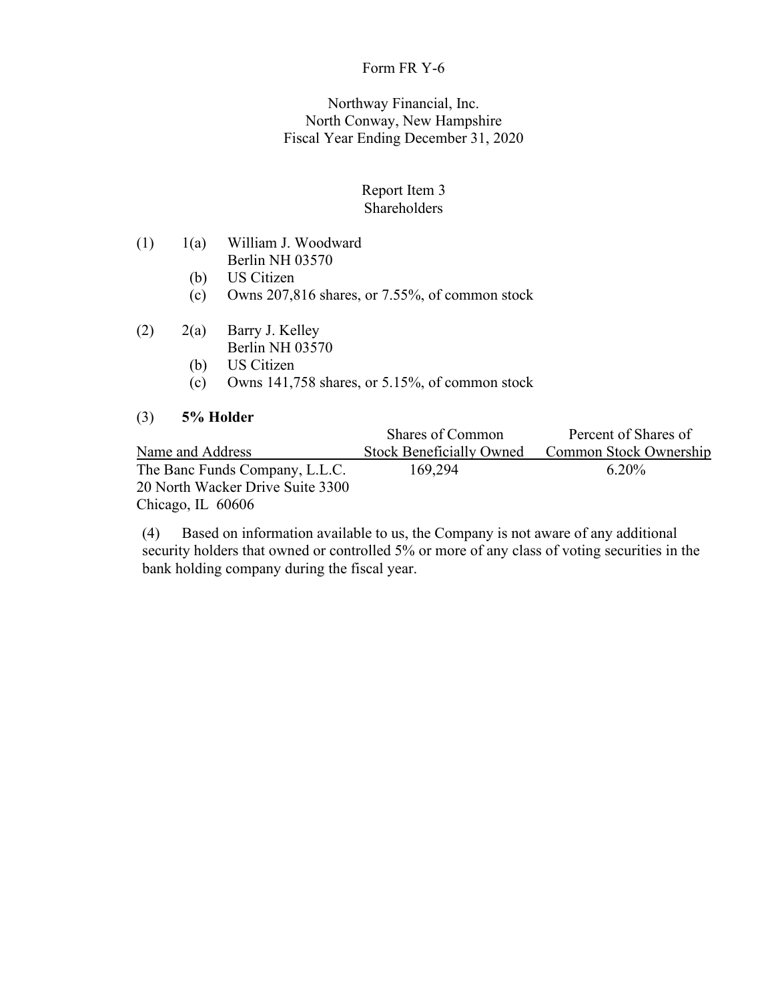## Northway Financial, Inc. North Conway, New Hampshire Fiscal Year Ending December 31, 2020

## Report Item 3 Shareholders

- (1) 1(a) William J. Woodward Berlin NH 03570
	- (b) US Citizen
	- (c) Owns 207,816 shares, or 7.55%, of common stock
- (2) 2(a) Barry J. Kelley
	- Berlin NH 03570
	- (b) US Citizen
	- (c) Owns 141,758 shares, or 5.15%, of common stock

## (3) **5% Holder**

|                                  | Shares of Common                | Percent of Shares of   |
|----------------------------------|---------------------------------|------------------------|
| Name and Address                 | <b>Stock Beneficially Owned</b> | Common Stock Ownership |
| The Banc Funds Company, L.L.C.   | 169,294                         | $6.20\%$               |
| 20 North Wacker Drive Suite 3300 |                                 |                        |
| Chicago, IL $60606$              |                                 |                        |

(4) Based on information available to us, the Company is not aware of any additional security holders that owned or controlled 5% or more of any class of voting securities in the bank holding company during the fiscal year.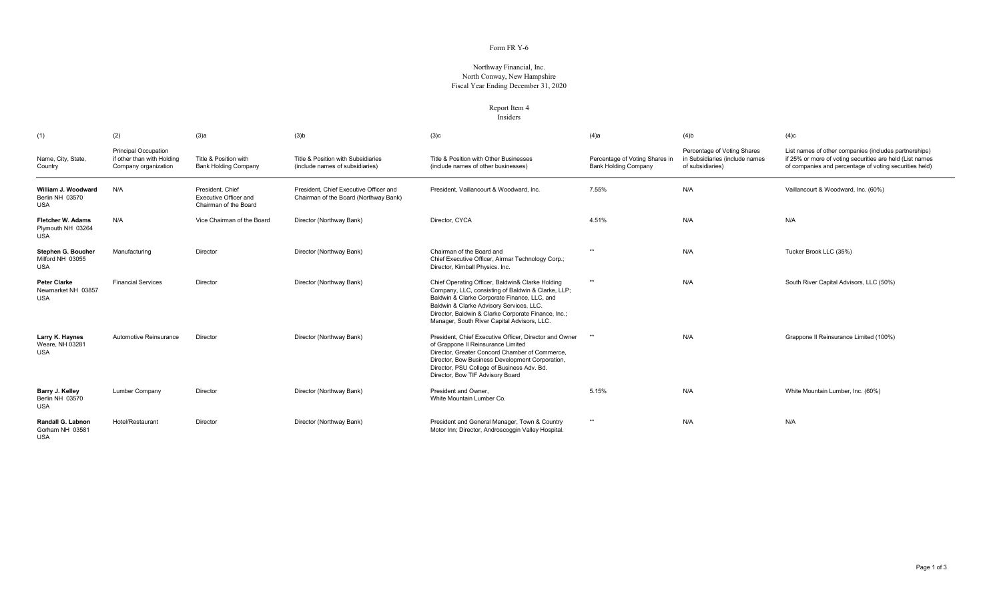### Northway Financial, Inc. North Conway, New HampshireFiscal Year Ending December 31, 2020

#### Report Item 4**Insiders**

| (1)                                                         | (2)                                                                               | $(3)$ a                                                                   | $(3)$ <sub>b</sub>                                                              | (3)c                                                                                                                                                                                                                                                                                                     | $(4)$ a                                                       | $(4)$ b                                                                           | (4)c                                                                                                                                                                        |
|-------------------------------------------------------------|-----------------------------------------------------------------------------------|---------------------------------------------------------------------------|---------------------------------------------------------------------------------|----------------------------------------------------------------------------------------------------------------------------------------------------------------------------------------------------------------------------------------------------------------------------------------------------------|---------------------------------------------------------------|-----------------------------------------------------------------------------------|-----------------------------------------------------------------------------------------------------------------------------------------------------------------------------|
| Name, City, State,<br>Country                               | <b>Principal Occupation</b><br>if other than with Holding<br>Company organization | Title & Position with<br><b>Bank Holding Company</b>                      | Title & Position with Subsidiaries<br>(include names of subsidiaries)           | Title & Position with Other Businesses<br>(include names of other businesses)                                                                                                                                                                                                                            | Percentage of Voting Shares in<br><b>Bank Holding Company</b> | Percentage of Voting Shares<br>in Subsidiaries (include names<br>of subsidiaries) | List names of other companies (includes partnerships)<br>if 25% or more of voting securities are held (List names<br>of companies and percentage of voting securities held) |
| William J. Woodward<br>Berlin NH 03570<br><b>USA</b>        | N/A                                                                               | President. Chief<br><b>Executive Officer and</b><br>Chairman of the Board | President, Chief Executive Officer and<br>Chairman of the Board (Northway Bank) | President, Vaillancourt & Woodward, Inc.                                                                                                                                                                                                                                                                 | 7.55%                                                         | N/A                                                                               | Vaillancourt & Woodward, Inc. (60%)                                                                                                                                         |
| <b>Fletcher W. Adams</b><br>Plymouth NH 03264<br><b>USA</b> | N/A                                                                               | Vice Chairman of the Board                                                | Director (Northway Bank)                                                        | Director, CYCA                                                                                                                                                                                                                                                                                           | 4.51%                                                         | N/A                                                                               | N/A                                                                                                                                                                         |
| Stephen G. Boucher<br>Milford NH 03055<br><b>USA</b>        | Manufacturing                                                                     | Director                                                                  | Director (Northway Bank)                                                        | Chairman of the Board and<br>Chief Executive Officer, Airmar Technology Corp.;<br>Director, Kimball Physics. Inc.                                                                                                                                                                                        | **                                                            | N/A                                                                               | Tucker Brook LLC (35%)                                                                                                                                                      |
| <b>Peter Clarke</b><br>Newmarket NH 03857<br><b>USA</b>     | <b>Financial Services</b>                                                         | Director                                                                  | Director (Northway Bank)                                                        | Chief Operating Officer, Baldwin& Clarke Holding<br>Company, LLC, consisting of Baldwin & Clarke, LLP;<br>Baldwin & Clarke Corporate Finance, LLC, and<br>Baldwin & Clarke Advisory Services, LLC.<br>Director, Baldwin & Clarke Corporate Finance, Inc.;<br>Manager, South River Capital Advisors, LLC. | $**$                                                          | N/A                                                                               | South River Capital Advisors, LLC (50%)                                                                                                                                     |
| Larry K. Haynes<br>Weare, NH 03281<br><b>USA</b>            | Automotive Reinsurance                                                            | Director                                                                  | Director (Northway Bank)                                                        | President, Chief Executive Officer, Director and Owner<br>of Grappone II Reinsurance Limited<br>Director, Greater Concord Chamber of Commerce.<br>Director, Bow Business Development Corporation,<br>Director, PSU College of Business Adv. Bd.<br>Director, Bow TIF Advisory Board                      | $**$                                                          | N/A                                                                               | Grappone II Reinsurance Limited (100%)                                                                                                                                      |
| Barry J. Kelley<br>Berlin NH 03570<br><b>USA</b>            | Lumber Company                                                                    | Director                                                                  | Director (Northway Bank)                                                        | President and Owner.<br>White Mountain Lumber Co.                                                                                                                                                                                                                                                        | 5.15%                                                         | N/A                                                                               | White Mountain Lumber, Inc. (60%)                                                                                                                                           |
| Randall G. Labnon<br>Gorham NH 03581<br><b>USA</b>          | Hotel/Restaurant                                                                  | Director                                                                  | Director (Northway Bank)                                                        | President and General Manager, Town & Country<br>Motor Inn; Director, Androscoggin Valley Hospital                                                                                                                                                                                                       | **                                                            | N/A                                                                               | N/A                                                                                                                                                                         |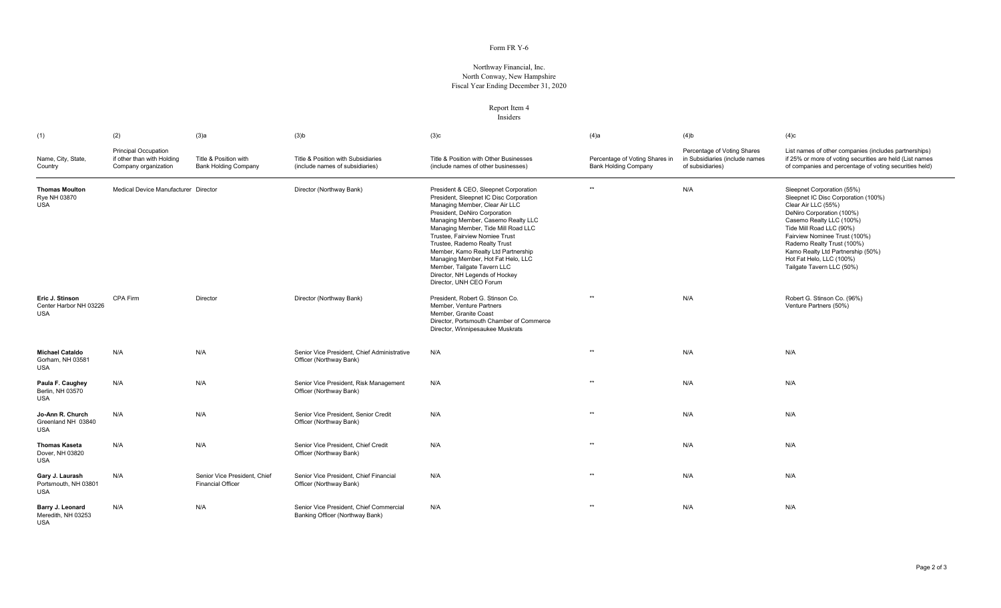### Northway Financial, Inc. North Conway, New HampshireFiscal Year Ending December 31, 2020

#### Report Item 4**Insiders**

| (1)                                                     | (2)                                                                               | (3)a                                                     | $(3)$ b                                                                    | (3)c                                                                                                                                                                                                                                                                                                                                                                                                                                                                        | $(4)$ a                                                       | $(4)$ b                                                                           | (4)c                                                                                                                                                                                                                                                                                                                                       |
|---------------------------------------------------------|-----------------------------------------------------------------------------------|----------------------------------------------------------|----------------------------------------------------------------------------|-----------------------------------------------------------------------------------------------------------------------------------------------------------------------------------------------------------------------------------------------------------------------------------------------------------------------------------------------------------------------------------------------------------------------------------------------------------------------------|---------------------------------------------------------------|-----------------------------------------------------------------------------------|--------------------------------------------------------------------------------------------------------------------------------------------------------------------------------------------------------------------------------------------------------------------------------------------------------------------------------------------|
| Name, City, State,<br>Country                           | <b>Principal Occupation</b><br>if other than with Holding<br>Company organization | Title & Position with<br><b>Bank Holding Company</b>     | Title & Position with Subsidiaries<br>(include names of subsidiaries)      | Title & Position with Other Businesses<br>(include names of other businesses)                                                                                                                                                                                                                                                                                                                                                                                               | Percentage of Voting Shares in<br><b>Bank Holding Company</b> | Percentage of Voting Shares<br>in Subsidiaries (include names<br>of subsidiaries) | List names of other companies (includes partnerships)<br>if 25% or more of voting securities are held (List names<br>of companies and percentage of voting securities held)                                                                                                                                                                |
| <b>Thomas Moulton</b><br>Rye NH 03870<br><b>USA</b>     | Medical Device Manufacturer Director                                              |                                                          | Director (Northway Bank)                                                   | President & CEO, Sleepnet Corporation<br>President, Sleepnet IC Disc Corporation<br>Managing Member, Clear Air LLC<br>President, DeNiro Corporation<br>Managing Member, Casemo Realty LLC<br>Managing Member, Tide Mill Road LLC<br>Trustee, Fairview Nomiee Trust<br>Trustee, Rademo Realty Trust<br>Member, Kamo Realty Ltd Partnership<br>Managing Member, Hot Fat Helo, LLC<br>Member, Tailgate Tavern LLC<br>Director, NH Legends of Hockey<br>Director, UNH CEO Forum | $**$                                                          | N/A                                                                               | Sleepnet Corporation (55%)<br>Sleepnet IC Disc Corporation (100%)<br>Clear Air LLC (55%)<br>DeNiro Corporation (100%)<br>Casemo Realty LLC (100%)<br>Tide Mill Road LLC (90%)<br>Fairview Nominee Trust (100%)<br>Rademo Realty Trust (100%)<br>Kamo Realty Ltd Partnership (50%)<br>Hot Fat Helo, LLC (100%)<br>Tailgate Tavern LLC (50%) |
| Eric J. Stinson<br>Center Harbor NH 03226<br><b>USA</b> | CPA Firm                                                                          | Director                                                 | Director (Northway Bank)                                                   | President, Robert G. Stinson Co.<br>Member, Venture Partners<br>Member, Granite Coast<br>Director, Portsmouth Chamber of Commerce<br>Director, Winnipesaukee Muskrats                                                                                                                                                                                                                                                                                                       | $**$                                                          | N/A                                                                               | Robert G. Stinson Co. (96%)<br>Venture Partners (50%)                                                                                                                                                                                                                                                                                      |
| <b>Michael Cataldo</b><br>Gorham, NH 03581<br>USA       | N/A                                                                               | N/A                                                      | Senior Vice President. Chief Administrative<br>Officer (Northway Bank)     | N/A                                                                                                                                                                                                                                                                                                                                                                                                                                                                         | $**$                                                          | N/A                                                                               | N/A                                                                                                                                                                                                                                                                                                                                        |
| Paula F. Caughey<br>Berlin, NH 03570<br><b>USA</b>      | N/A                                                                               | N/A                                                      | Senior Vice President, Risk Management<br>Officer (Northway Bank)          | N/A                                                                                                                                                                                                                                                                                                                                                                                                                                                                         | $**$                                                          | N/A                                                                               | N/A                                                                                                                                                                                                                                                                                                                                        |
| Jo-Ann R. Church<br>Greenland NH 03840<br><b>USA</b>    | N/A                                                                               | N/A                                                      | Senior Vice President, Senior Credit<br>Officer (Northway Bank)            | N/A                                                                                                                                                                                                                                                                                                                                                                                                                                                                         | $**$                                                          | N/A                                                                               | N/A                                                                                                                                                                                                                                                                                                                                        |
| <b>Thomas Kaseta</b><br>Dover, NH 03820<br><b>USA</b>   | N/A                                                                               | N/A                                                      | Senior Vice President, Chief Credit<br>Officer (Northway Bank)             | N/A                                                                                                                                                                                                                                                                                                                                                                                                                                                                         | $**$                                                          | N/A                                                                               | N/A                                                                                                                                                                                                                                                                                                                                        |
| Gary J. Laurash<br>Portsmouth, NH 03801<br><b>USA</b>   | N/A                                                                               | Senior Vice President, Chief<br><b>Financial Officer</b> | Senior Vice President, Chief Financial<br>Officer (Northway Bank)          | N/A                                                                                                                                                                                                                                                                                                                                                                                                                                                                         | $**$                                                          | N/A                                                                               | N/A                                                                                                                                                                                                                                                                                                                                        |
| Barry J. Leonard<br>Meredith, NH 03253<br>USA           | N/A                                                                               | N/A                                                      | Senior Vice President, Chief Commercial<br>Banking Officer (Northway Bank) | N/A                                                                                                                                                                                                                                                                                                                                                                                                                                                                         | $**$                                                          | N/A                                                                               | N/A                                                                                                                                                                                                                                                                                                                                        |